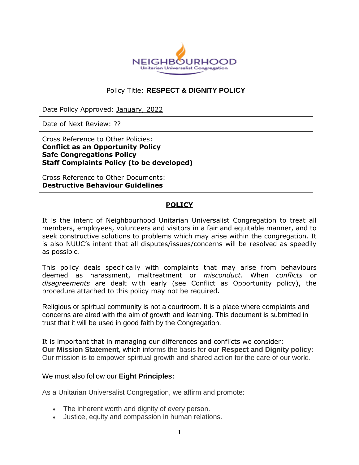

#### Policy Title: **RESPECT & DIGNITY POLICY**

Date Policy Approved: January, 2022

Date of Next Review: ??

Cross Reference to Other Policies: **Conflict as an Opportunity Policy Safe Congregations Policy Staff Complaints Policy (to be developed)**

Cross Reference to Other Documents: **Destructive Behaviour Guidelines**

### **POLICY**

It is the intent of Neighbourhood Unitarian Universalist Congregation to treat all members, employees, volunteers and visitors in a fair and equitable manner, and to seek constructive solutions to problems which may arise within the congregation. It is also NUUC's intent that all disputes/issues/concerns will be resolved as speedily as possible.

This policy deals specifically with complaints that may arise from behaviours deemed as harassment, maltreatment or *misconduct*. When *conflicts* or *disagreements* are dealt with early (see Conflict as Opportunity policy), the procedure attached to this policy may not be required.

Religious or spiritual community is not a courtroom. It is a place where complaints and concerns are aired with the aim of growth and learning. This document is submitted in trust that it will be used in good faith by the Congregation.

It is important that in managing our differences and conflicts we consider: **Our Mission Statement,** which informs the basis for **our Respect and Dignity policy:**  Our mission is to empower spiritual growth and shared action for the care of our world.

We must also follow our **Eight Principles:**

As a Unitarian Universalist Congregation, we affirm and promote:

- The inherent worth and dignity of every person.
- Justice, equity and compassion in human relations.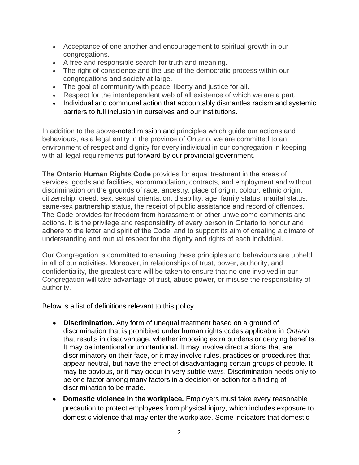- Acceptance of one another and encouragement to spiritual growth in our congregations.
- A free and responsible search for truth and meaning.
- The right of conscience and the use of the democratic process within our congregations and society at large.
- The goal of community with peace, liberty and justice for all.
- Respect for the interdependent web of all existence of which we are a part.
- Individual and communal action that accountably dismantles racism and systemic barriers to full inclusion in ourselves and our institutions.

In addition to the above-noted mission and principles which guide our actions and behaviours, as a legal entity in the province of Ontario, we are committed to an environment of respect and dignity for every individual in our congregation in keeping with all legal requirements put forward by our provincial government.

**The Ontario Human Rights Code** provides for equal treatment in the areas of services, goods and facilities, accommodation, contracts, and employment and without discrimination on the grounds of race, ancestry, place of origin, colour, ethnic origin, citizenship, creed, sex, sexual orientation, disability, age, family status, marital status, same-sex partnership status, the receipt of public assistance and record of offences. The Code provides for freedom from harassment or other unwelcome comments and actions. It is the privilege and responsibility of every person in Ontario to honour and adhere to the letter and spirit of the Code, and to support its aim of creating a climate of understanding and mutual respect for the dignity and rights of each individual.

Our Congregation is committed to ensuring these principles and behaviours are upheld in all of our activities. Moreover, in relationships of trust, power, authority, and confidentiality, the greatest care will be taken to ensure that no one involved in our Congregation will take advantage of trust, abuse power, or misuse the responsibility of authority.

Below is a list of definitions relevant to this policy.

- **Discrimination.** Any form of unequal treatment based on a ground of discrimination that is prohibited under human rights codes applicable in *Ontario* that results in disadvantage, whether imposing extra burdens or denying benefits. It may be intentional or unintentional. It may involve direct actions that are discriminatory on their face, or it may involve rules, practices or procedures that appear neutral, but have the effect of disadvantaging certain groups of people. It may be obvious, or it may occur in very subtle ways. Discrimination needs only to be one factor among many factors in a decision or action for a finding of discrimination to be made.
- **Domestic violence in the workplace.** Employers must take every reasonable precaution to protect employees from physical injury, which includes exposure to domestic violence that may enter the workplace. Some indicators that domestic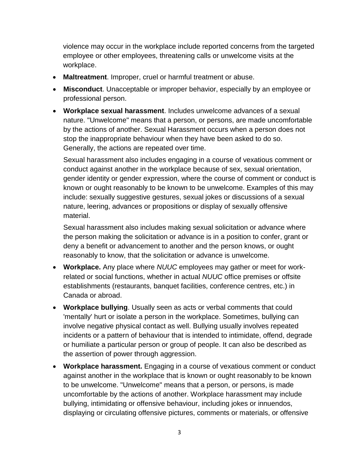violence may occur in the workplace include reported concerns from the targeted employee or other employees, threatening calls or unwelcome visits at the workplace.

- **Maltreatment**. Improper, cruel or harmful treatment or abuse.
- **Misconduct**. Unacceptable or improper behavior, especially by an employee or professional person.
- **Workplace sexual harassment**. Includes unwelcome advances of a sexual nature. "Unwelcome" means that a person, or persons, are made uncomfortable by the actions of another. Sexual Harassment occurs when a person does not stop the inappropriate behaviour when they have been asked to do so. Generally, the actions are repeated over time.

Sexual harassment also includes engaging in a course of vexatious comment or conduct against another in the workplace because of sex, sexual orientation, gender identity or gender expression, where the course of comment or conduct is known or ought reasonably to be known to be unwelcome. Examples of this may include: sexually suggestive gestures, sexual jokes or discussions of a sexual nature, leering, advances or propositions or display of sexually offensive material.

Sexual harassment also includes making sexual solicitation or advance where the person making the solicitation or advance is in a position to confer, grant or deny a benefit or advancement to another and the person knows, or ought reasonably to know, that the solicitation or advance is unwelcome.

- **Workplace.** Any place where *NUUC* employees may gather or meet for workrelated or social functions, whether in actual *NUUC* office premises or offsite establishments (restaurants, banquet facilities, conference centres, etc.) in Canada or abroad.
- **Workplace bullying**. Usually seen as acts or verbal comments that could 'mentally' hurt or isolate a person in the workplace. Sometimes, bullying can involve negative physical contact as well. Bullying usually involves repeated incidents or a pattern of behaviour that is intended to intimidate, offend, degrade or humiliate a particular person or group of people. It can also be described as the assertion of power through aggression.
- **Workplace harassment.** Engaging in a course of vexatious comment or conduct against another in the workplace that is known or ought reasonably to be known to be unwelcome. "Unwelcome" means that a person, or persons, is made uncomfortable by the actions of another. Workplace harassment may include bullying, intimidating or offensive behaviour, including jokes or innuendos, displaying or circulating offensive pictures, comments or materials, or offensive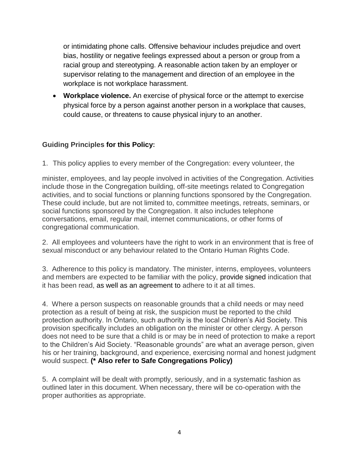or intimidating phone calls. Offensive behaviour includes prejudice and overt bias, hostility or negative feelings expressed about a person or group from a racial group and stereotyping. A reasonable action taken by an employer or supervisor relating to the management and direction of an employee in the workplace is not workplace harassment.

 **Workplace violence.** An exercise of physical force or the attempt to exercise physical force by a person against another person in a workplace that causes, could cause, or threatens to cause physical injury to an another.

# **Guiding Principles for this Policy:**

1. This policy applies to every member of the Congregation: every volunteer, the

minister, employees, and lay people involved in activities of the Congregation. Activities include those in the Congregation building, off-site meetings related to Congregation activities, and to social functions or planning functions sponsored by the Congregation. These could include, but are not limited to, committee meetings, retreats, seminars, or social functions sponsored by the Congregation. It also includes telephone conversations, email, regular mail, internet communications, or other forms of congregational communication.

2. All employees and volunteers have the right to work in an environment that is free of sexual misconduct or any behaviour related to the Ontario Human Rights Code.

3. Adherence to this policy is mandatory. The minister, interns, employees, volunteers and members are expected to be familiar with the policy, provide signed indication that it has been read, as well as an agreement to adhere to it at all times.

4. Where a person suspects on reasonable grounds that a child needs or may need protection as a result of being at risk, the suspicion must be reported to the child protection authority. In Ontario, such authority is the local Children's Aid Society. This provision specifically includes an obligation on the minister or other clergy. A person does not need to be sure that a child is or may be in need of protection to make a report to the Children's Aid Society. "Reasonable grounds" are what an average person, given his or her training, background, and experience, exercising normal and honest judgment would suspect. **(\* Also refer to Safe Congregations Policy)**

5. A complaint will be dealt with promptly, seriously, and in a systematic fashion as outlined later in this document. When necessary, there will be co-operation with the proper authorities as appropriate.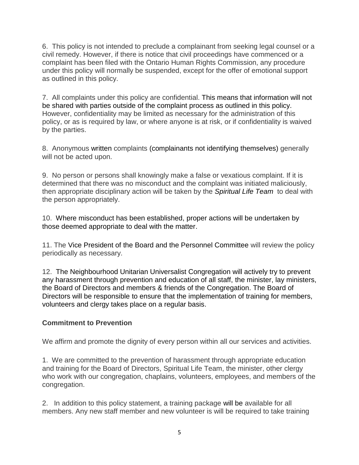6. This policy is not intended to preclude a complainant from seeking legal counsel or a civil remedy. However, if there is notice that civil proceedings have commenced or a complaint has been filed with the Ontario Human Rights Commission, any procedure under this policy will normally be suspended, except for the offer of emotional support as outlined in this policy.

7. All complaints under this policy are confidential. This means that information will not be shared with parties outside of the complaint process as outlined in this policy. However, confidentiality may be limited as necessary for the administration of this policy, or as is required by law, or where anyone is at risk, or if confidentiality is waived by the parties.

8. Anonymous written complaints (complainants not identifying themselves) generally will not be acted upon.

9. No person or persons shall knowingly make a false or vexatious complaint. If it is determined that there was no misconduct and the complaint was initiated maliciously, then appropriate disciplinary action will be taken by the *Spiritual Life Team* to deal with the person appropriately.

10. Where misconduct has been established, proper actions will be undertaken by those deemed appropriate to deal with the matter.

11. The Vice President of the Board and the Personnel Committee will review the policy periodically as necessary.

12. The Neighbourhood Unitarian Universalist Congregation will actively try to prevent any harassment through prevention and education of all staff, the minister, lay ministers, the Board of Directors and members & friends of the Congregation. The Board of Directors will be responsible to ensure that the implementation of training for members, volunteers and clergy takes place on a regular basis.

# **Commitment to Prevention**

We affirm and promote the dignity of every person within all our services and activities.

1. We are committed to the prevention of harassment through appropriate education and training for the Board of Directors, Spiritual Life Team, the minister, other clergy who work with our congregation, chaplains, volunteers, employees, and members of the congregation.

2. In addition to this policy statement, a training package will be available for all members. Any new staff member and new volunteer is will be required to take training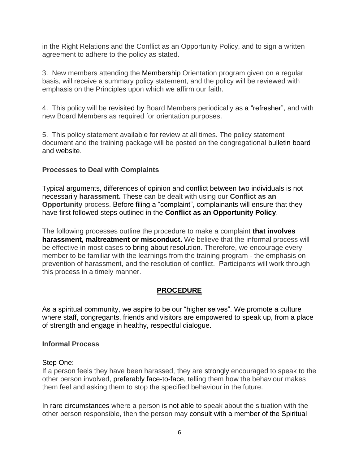in the Right Relations and the Conflict as an Opportunity Policy, and to sign a written agreement to adhere to the policy as stated.

3. New members attending the Membership Orientation program given on a regular basis, will receive a summary policy statement, and the policy will be reviewed with emphasis on the Principles upon which we affirm our faith.

4. This policy will be revisited by Board Members periodically as a "refresher", and with new Board Members as required for orientation purposes.

5. This policy statement available for review at all times. The policy statement document and the training package will be posted on the congregational bulletin board and website.

#### **Processes to Deal with Complaints**

Typical arguments, differences of opinion and conflict between two individuals is not necessarily **harassment.** These can be dealt with using our **Conflict as an Opportunity** process. Before filing a "complaint", complainants will ensure that they have first followed steps outlined in the **Conflict as an Opportunity Policy**.

The following processes outline the procedure to make a complaint **that involves harassment, maltreatment or misconduct.** We believe that the informal process will be effective in most cases to bring about resolution. Therefore, we encourage every member to be familiar with the learnings from the training program - the emphasis on prevention of harassment, and the resolution of conflict. Participants will work through this process in a timely manner.

#### **PROCEDURE**

As a spiritual community, we aspire to be our "higher selves". We promote a culture where staff, congregants, friends and visitors are empowered to speak up, from a place of strength and engage in healthy, respectful dialogue.

#### **Informal Process**

#### Step One:

If a person feels they have been harassed, they are strongly encouraged to speak to the other person involved, preferably face-to-face, telling them how the behaviour makes them feel and asking them to stop the specified behaviour in the future.

In rare circumstances where a person is not able to speak about the situation with the other person responsible, then the person may consult with a member of the Spiritual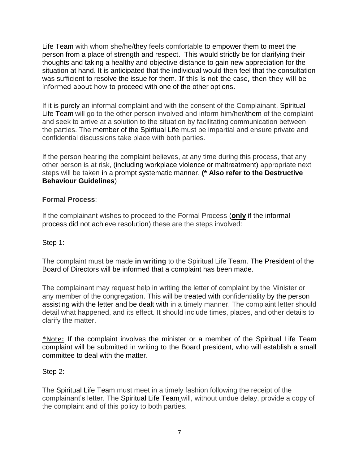Life Team with whom she/he/they feels comfortable to empower them to meet the person from a place of strength and respect. This would strictly be for clarifying their thoughts and taking a healthy and objective distance to gain new appreciation for the situation at hand. It is anticipated that the individual would then feel that the consultation was sufficient to resolve the issue for them. If this is not the case, then they will be informed about how to proceed with one of the other options.

If it is purely an informal complaint and with the consent of the Complainant, Spiritual Life Team will go to the other person involved and inform him/her/them of the complaint and seek to arrive at a solution to the situation by facilitating communication between the parties. The member of the Spiritual Life must be impartial and ensure private and confidential discussions take place with both parties.

If the person hearing the complaint believes, at any time during this process, that any other person is at risk, (including workplace violence or maltreatment) appropriate next steps will be taken in a prompt systematic manner. **(\* Also refer to the Destructive Behaviour Guidelines**)

### **Formal Process**:

If the complainant wishes to proceed to the Formal Process (**only** if the informal process did not achieve resolution) these are the steps involved:

# Step 1:

The complaint must be made **in writing** to the Spiritual Life Team. The President of the Board of Directors will be informed that a complaint has been made.

The complainant may request help in writing the letter of complaint by the Minister or any member of the congregation. This will be treated with confidentiality by the person assisting with the letter and be dealt with in a timely manner. The complaint letter should detail what happened, and its effect. It should include times, places, and other details to clarify the matter.

\*Note: If the complaint involves the minister or a member of the Spiritual Life Team complaint will be submitted in writing to the Board president, who will establish a small committee to deal with the matter.

#### Step 2:

The Spiritual Life Team must meet in a timely fashion following the receipt of the complainant's letter. The Spiritual Life Team will, without undue delay, provide a copy of the complaint and of this policy to both parties.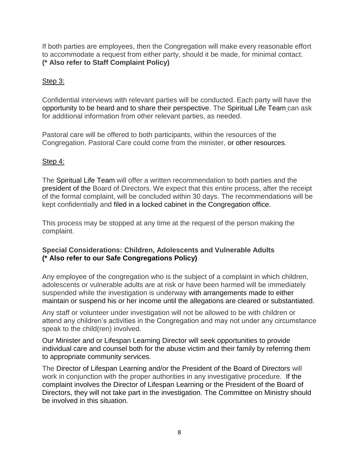If both parties are employees, then the Congregation will make every reasonable effort to accommodate a request from either party, should it be made, for minimal contact. **(\* Also refer to Staff Complaint Policy)**

#### Step 3:

Confidential interviews with relevant parties will be conducted. Each party will have the opportunity to be heard and to share their perspective. The Spiritual Life Team can ask for additional information from other relevant parties, as needed.

Pastoral care will be offered to both participants, within the resources of the Congregation. Pastoral Care could come from the minister, or other resources.

### Step 4:

The Spiritual Life Team will offer a written recommendation to both parties and the president of the Board of Directors. We expect that this entire process, after the receipt of the formal complaint, will be concluded within 30 days. The recommendations will be kept confidentially and filed in a locked cabinet in the Congregation office.

This process may be stopped at any time at the request of the person making the complaint.

# **Special Considerations: Children, Adolescents and Vulnerable Adults (\* Also refer to our Safe Congregations Policy)**

Any employee of the congregation who is the subject of a complaint in which children, adolescents or vulnerable adults are at risk or have been harmed will be immediately suspended while the investigation is underway with arrangements made to either maintain or suspend his or her income until the allegations are cleared or substantiated.

Any staff or volunteer under investigation will not be allowed to be with children or attend any children's activities in the Congregation and may not under any circumstance speak to the child(ren) involved.

Our Minister and or Lifespan Learning Director will seek opportunities to provide individual care and counsel both for the abuse victim and their family by referring them to appropriate community services.

The Director of Lifespan Learning and/or the President of the Board of Directors will work in conjunction with the proper authorities in any investigative procedure. If the complaint involves the Director of Lifespan Learning or the President of the Board of Directors, they will not take part in the investigation. The Committee on Ministry should be involved in this situation.